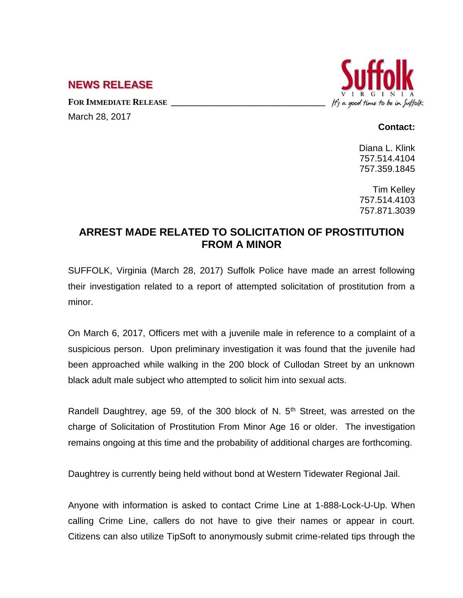## **NEWS RELEASE**

**FOR IMMEDIATE RELEASE \_\_\_\_\_\_\_\_\_\_\_\_\_\_\_\_\_\_\_\_\_\_\_\_\_\_\_\_\_\_\_\_\_\_**

March 28, 2017

## It's a good time to be in Suffolk

## **Contact:**

Diana L. Klink 757.514.4104 757.359.1845

Tim Kelley 757.514.4103 757.871.3039

## **ARREST MADE RELATED TO SOLICITATION OF PROSTITUTION FROM A MINOR**

SUFFOLK, Virginia (March 28, 2017) Suffolk Police have made an arrest following their investigation related to a report of attempted solicitation of prostitution from a minor.

On March 6, 2017, Officers met with a juvenile male in reference to a complaint of a suspicious person. Upon preliminary investigation it was found that the juvenile had been approached while walking in the 200 block of Cullodan Street by an unknown black adult male subject who attempted to solicit him into sexual acts.

Randell Daughtrey, age 59, of the 300 block of N.  $5<sup>th</sup>$  Street, was arrested on the charge of Solicitation of Prostitution From Minor Age 16 or older. The investigation remains ongoing at this time and the probability of additional charges are forthcoming.

Daughtrey is currently being held without bond at Western Tidewater Regional Jail.

Anyone with information is asked to contact Crime Line at 1-888-Lock-U-Up. When calling Crime Line, callers do not have to give their names or appear in court. Citizens can also utilize TipSoft to anonymously submit crime-related tips through the